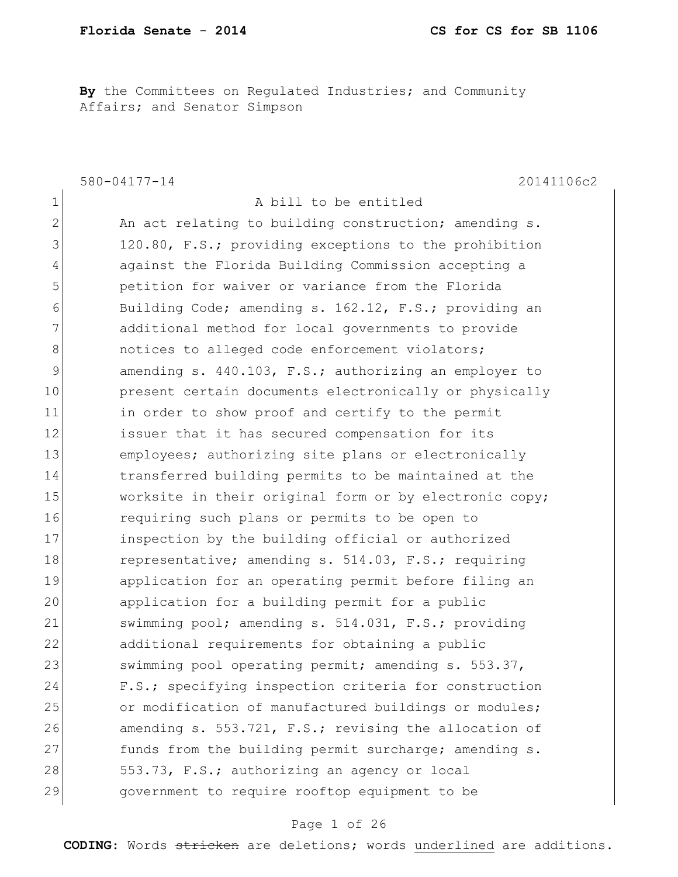**By** the Committees on Regulated Industries; and Community Affairs; and Senator Simpson

|                | 580-04177-14<br>20141106c2                             |
|----------------|--------------------------------------------------------|
| $\mathbf 1$    | A bill to be entitled                                  |
| $\overline{2}$ | An act relating to building construction; amending s.  |
| 3              | 120.80, F.S.; providing exceptions to the prohibition  |
| 4              | against the Florida Building Commission accepting a    |
| 5              | petition for waiver or variance from the Florida       |
| 6              | Building Code; amending s. 162.12, F.S.; providing an  |
| 7              | additional method for local governments to provide     |
| 8              | notices to alleged code enforcement violators;         |
| 9              | amending s. 440.103, F.S.; authorizing an employer to  |
| 10             | present certain documents electronically or physically |
| 11             | in order to show proof and certify to the permit       |
| 12             | issuer that it has secured compensation for its        |
| 13             | employees; authorizing site plans or electronically    |
| 14             | transferred building permits to be maintained at the   |
| 15             | worksite in their original form or by electronic copy; |
| 16             | requiring such plans or permits to be open to          |
| 17             | inspection by the building official or authorized      |
| 18             | representative; amending s. 514.03, F.S.; requiring    |
| 19             | application for an operating permit before filing an   |
| 20             | application for a building permit for a public         |
| 21             | swimming pool; amending s. 514.031, F.S.; providing    |
| 22             | additional requirements for obtaining a public         |
| 23             | swimming pool operating permit; amending s. 553.37,    |
| 24             | F.S.; specifying inspection criteria for construction  |
| 25             | or modification of manufactured buildings or modules;  |
| 26             | amending s. 553.721, F.S.; revising the allocation of  |
| 27             | funds from the building permit surcharge; amending s.  |
| 28             | 553.73, F.S.; authorizing an agency or local           |
| 29             | government to require rooftop equipment to be          |

### Page 1 of 26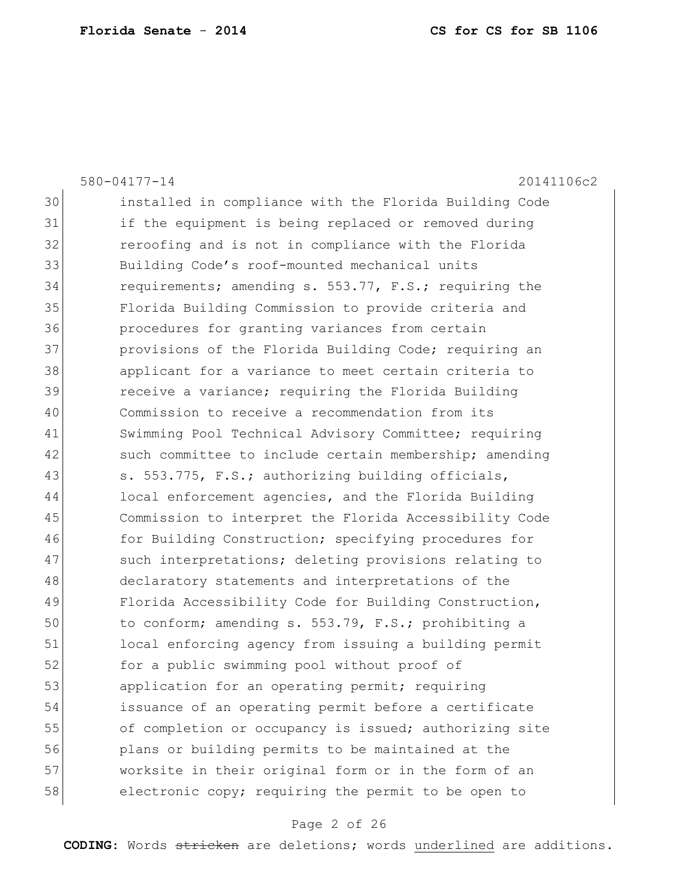|    | 580-04177-14<br>20141106c2                             |
|----|--------------------------------------------------------|
| 30 | installed in compliance with the Florida Building Code |
| 31 | if the equipment is being replaced or removed during   |
| 32 | reroofing and is not in compliance with the Florida    |
| 33 | Building Code's roof-mounted mechanical units          |
| 34 | requirements; amending s. 553.77, F.S.; requiring the  |
| 35 | Florida Building Commission to provide criteria and    |
| 36 | procedures for granting variances from certain         |
| 37 | provisions of the Florida Building Code; requiring an  |
| 38 | applicant for a variance to meet certain criteria to   |
| 39 | receive a variance; requiring the Florida Building     |
| 40 | Commission to receive a recommendation from its        |
| 41 | Swimming Pool Technical Advisory Committee; requiring  |
| 42 | such committee to include certain membership; amending |
| 43 | s. 553.775, F.S.; authorizing building officials,      |
| 44 | local enforcement agencies, and the Florida Building   |
| 45 | Commission to interpret the Florida Accessibility Code |
| 46 | for Building Construction; specifying procedures for   |
| 47 | such interpretations; deleting provisions relating to  |
| 48 | declaratory statements and interpretations of the      |
| 49 | Florida Accessibility Code for Building Construction,  |
| 50 | to conform; amending s. 553.79, F.S.; prohibiting a    |
| 51 | local enforcing agency from issuing a building permit  |
| 52 | for a public swimming pool without proof of            |
| 53 | application for an operating permit; requiring         |
| 54 | issuance of an operating permit before a certificate   |
| 55 | of completion or occupancy is issued; authorizing site |
| 56 | plans or building permits to be maintained at the      |
| 57 | worksite in their original form or in the form of an   |
| 58 | electronic copy; requiring the permit to be open to    |

# Page 2 of 26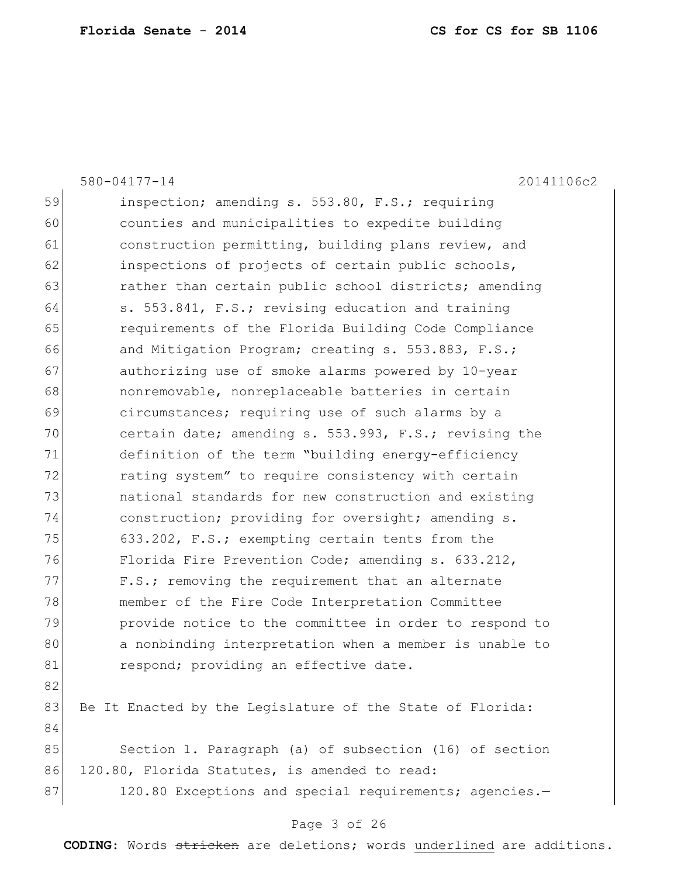|    | 580-04177-14<br>20141106c2                                |
|----|-----------------------------------------------------------|
| 59 | inspection; amending s. 553.80, F.S.; requiring           |
| 60 | counties and municipalities to expedite building          |
| 61 | construction permitting, building plans review, and       |
| 62 | inspections of projects of certain public schools,        |
| 63 | rather than certain public school districts; amending     |
| 64 | s. 553.841, F.S.; revising education and training         |
| 65 | requirements of the Florida Building Code Compliance      |
| 66 | and Mitigation Program; creating s. 553.883, F.S.;        |
| 67 | authorizing use of smoke alarms powered by 10-year        |
| 68 | nonremovable, nonreplaceable batteries in certain         |
| 69 | circumstances; requiring use of such alarms by a          |
| 70 | certain date; amending s. 553.993, F.S.; revising the     |
| 71 | definition of the term "building energy-efficiency        |
| 72 | rating system" to require consistency with certain        |
| 73 | national standards for new construction and existing      |
| 74 | construction; providing for oversight; amending s.        |
| 75 | 633.202, F.S.; exempting certain tents from the           |
| 76 | Florida Fire Prevention Code; amending s. 633.212,        |
| 77 | F.S.; removing the requirement that an alternate          |
| 78 | member of the Fire Code Interpretation Committee          |
| 79 | provide notice to the committee in order to respond to    |
| 80 | a nonbinding interpretation when a member is unable to    |
| 81 | respond; providing an effective date.                     |
| 82 |                                                           |
| 83 | Be It Enacted by the Legislature of the State of Florida: |
| 84 |                                                           |
| 85 | Section 1. Paragraph (a) of subsection (16) of section    |
| 86 | 120.80, Florida Statutes, is amended to read:             |
| 87 | 120.80 Exceptions and special requirements; agencies.-    |
|    |                                                           |

# Page 3 of 26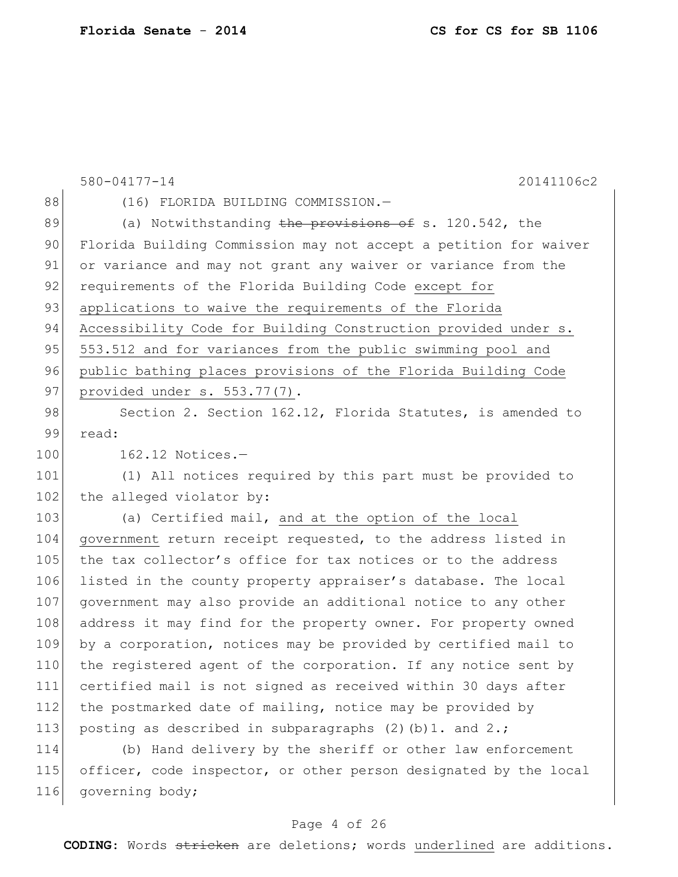|     | 580-04177-14<br>20141106c2                                       |
|-----|------------------------------------------------------------------|
| 88  | (16) FLORIDA BUILDING COMMISSION.-                               |
| 89  | (a) Notwithstanding the provisions of s. 120.542, the            |
| 90  | Florida Building Commission may not accept a petition for waiver |
| 91  | or variance and may not grant any waiver or variance from the    |
| 92  | requirements of the Florida Building Code except for             |
| 93  | applications to waive the requirements of the Florida            |
| 94  | Accessibility Code for Building Construction provided under s.   |
| 95  | 553.512 and for variances from the public swimming pool and      |
| 96  | public bathing places provisions of the Florida Building Code    |
| 97  | provided under s. 553.77(7).                                     |
| 98  | Section 2. Section 162.12, Florida Statutes, is amended to       |
| 99  | read:                                                            |
| 100 | $162.12$ Notices.-                                               |
| 101 | (1) All notices required by this part must be provided to        |
| 102 | the alleged violator by:                                         |
| 103 | (a) Certified mail, and at the option of the local               |
| 104 | government return receipt requested, to the address listed in    |
| 105 | the tax collector's office for tax notices or to the address     |
| 106 | listed in the county property appraiser's database. The local    |
| 107 | government may also provide an additional notice to any other    |
| 108 | address it may find for the property owner. For property owned   |
| 109 | by a corporation, notices may be provided by certified mail to   |
| 110 | the registered agent of the corporation. If any notice sent by   |
| 111 | certified mail is not signed as received within 30 days after    |
| 112 | the postmarked date of mailing, notice may be provided by        |
| 113 | posting as described in subparagraphs $(2)$ (b) 1. and 2.;       |
| 114 | (b) Hand delivery by the sheriff or other law enforcement        |
| 115 | officer, code inspector, or other person designated by the local |
| 116 | governing body;                                                  |

# Page 4 of 26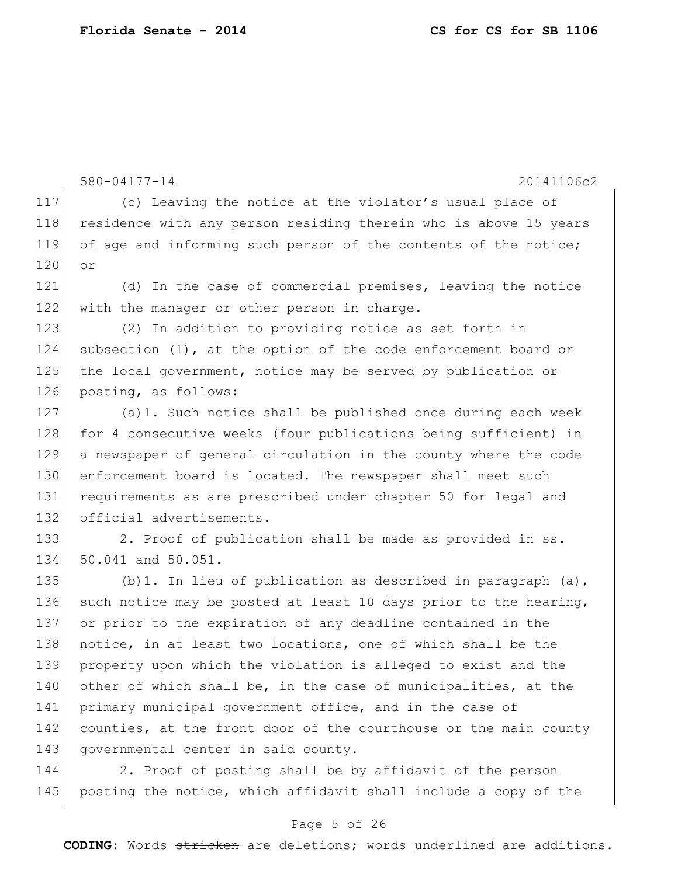```
580-04177-14 20141106c2
117 (c) Leaving the notice at the violator's usual place of 
118 residence with any person residing therein who is above 15 years
119 of age and informing such person of the contents of the notice; 
120 or
121 (d) In the case of commercial premises, leaving the notice 
122 with the manager or other person in charge.
123 (2) In addition to providing notice as set forth in
124 subsection (1), at the option of the code enforcement board or 
125 the local government, notice may be served by publication or 
126 posting, as follows:
127 (a)1. Such notice shall be published once during each week 
128 for 4 consecutive weeks (four publications being sufficient) in
129 a newspaper of general circulation in the county where the code 
130 enforcement board is located. The newspaper shall meet such
131 requirements as are prescribed under chapter 50 for legal and
132 official advertisements.
133 2. Proof of publication shall be made as provided in ss.
134 50.041 and 50.051.
135 (b)1. In lieu of publication as described in paragraph (a),
136 such notice may be posted at least 10 days prior to the hearing,
137 or prior to the expiration of any deadline contained in the 
138 notice, in at least two locations, one of which shall be the
139 property upon which the violation is alleged to exist and the 
140 other of which shall be, in the case of municipalities, at the
141 primary municipal government office, and in the case of
142 counties, at the front door of the courthouse or the main county
143 governmental center in said county.
```
144 2. Proof of posting shall be by affidavit of the person 145 posting the notice, which affidavit shall include a copy of the

### Page 5 of 26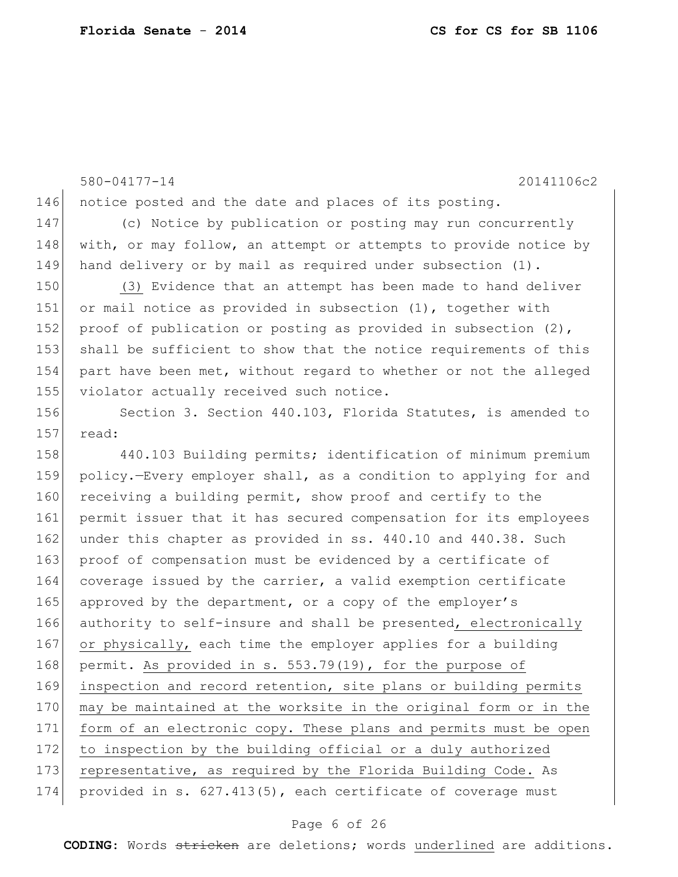580-04177-14 20141106c2 146 notice posted and the date and places of its posting. 147 (c) Notice by publication or posting may run concurrently 148 with, or may follow, an attempt or attempts to provide notice by 149 hand delivery or by mail as required under subsection (1). 150 (3) Evidence that an attempt has been made to hand deliver 151 or mail notice as provided in subsection (1), together with 152 proof of publication or posting as provided in subsection (2), 153 shall be sufficient to show that the notice requirements of this 154 part have been met, without regard to whether or not the alleged 155 violator actually received such notice. 156 Section 3. Section 440.103, Florida Statutes, is amended to  $157$  read: 158 440.103 Building permits; identification of minimum premium 159 policy.—Every employer shall, as a condition to applying for and 160 receiving a building permit, show proof and certify to the 161 permit issuer that it has secured compensation for its employees 162 under this chapter as provided in ss. 440.10 and 440.38. Such 163 proof of compensation must be evidenced by a certificate of 164 coverage issued by the carrier, a valid exemption certificate 165 approved by the department, or a copy of the employer's 166 authority to self-insure and shall be presented, electronically 167 or physically, each time the employer applies for a building 168 permit. As provided in s. 553.79(19), for the purpose of 169 inspection and record retention, site plans or building permits 170 may be maintained at the worksite in the original form or in the 171 form of an electronic copy. These plans and permits must be open 172 to inspection by the building official or a duly authorized 173 representative, as required by the Florida Building Code. As 174 provided in s. 627.413(5), each certificate of coverage must

#### Page 6 of 26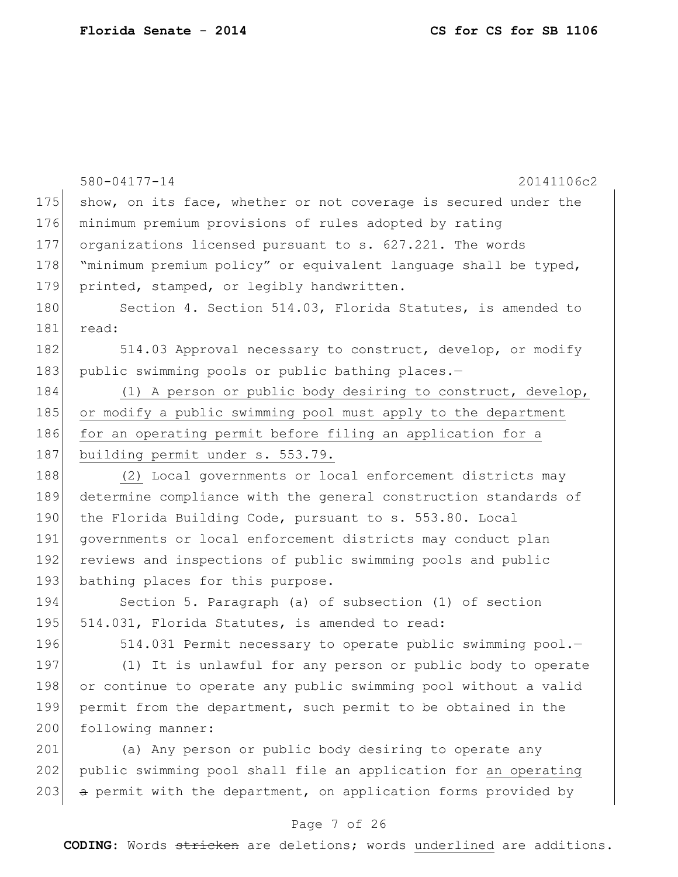|     | 580-04177-14<br>20141106c2                                      |
|-----|-----------------------------------------------------------------|
| 175 | show, on its face, whether or not coverage is secured under the |
| 176 | minimum premium provisions of rules adopted by rating           |
| 177 | organizations licensed pursuant to s. 627.221. The words        |
| 178 | "minimum premium policy" or equivalent language shall be typed, |
| 179 | printed, stamped, or legibly handwritten.                       |
| 180 | Section 4. Section 514.03, Florida Statutes, is amended to      |
| 181 | read:                                                           |
| 182 | 514.03 Approval necessary to construct, develop, or modify      |
| 183 | public swimming pools or public bathing places.-                |
| 184 | (1) A person or public body desiring to construct, develop,     |
| 185 | or modify a public swimming pool must apply to the department   |
| 186 | for an operating permit before filing an application for a      |
| 187 | building permit under s. 553.79.                                |
| 188 | (2) Local governments or local enforcement districts may        |
| 189 | determine compliance with the general construction standards of |
| 190 | the Florida Building Code, pursuant to s. 553.80. Local         |
| 191 | governments or local enforcement districts may conduct plan     |
| 192 | reviews and inspections of public swimming pools and public     |
| 193 | bathing places for this purpose.                                |
| 194 | Section 5. Paragraph (a) of subsection (1) of section           |
| 195 | 514.031, Florida Statutes, is amended to read:                  |
| 196 | 514.031 Permit necessary to operate public swimming pool.-      |
| 197 | (1) It is unlawful for any person or public body to operate     |
| 198 | or continue to operate any public swimming pool without a valid |
| 199 | permit from the department, such permit to be obtained in the   |
| 200 | following manner:                                               |
| 201 | (a) Any person or public body desiring to operate any           |
| 202 | public swimming pool shall file an application for an operating |
| 203 | a permit with the department, on application forms provided by  |

# Page 7 of 26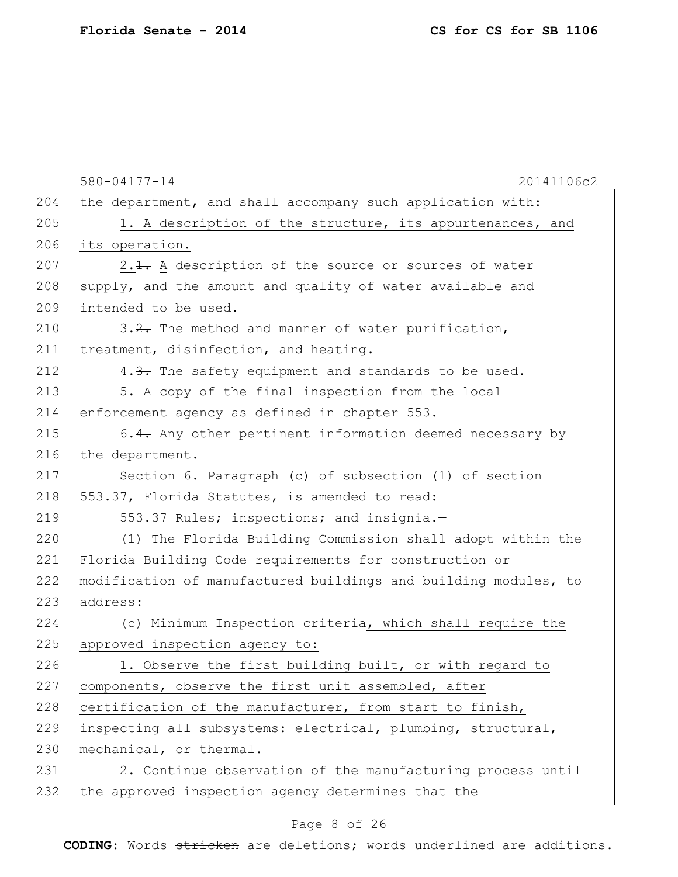|     | 580-04177-14<br>20141106c2                                      |
|-----|-----------------------------------------------------------------|
| 204 | the department, and shall accompany such application with:      |
| 205 | 1. A description of the structure, its appurtenances, and       |
| 206 | its operation.                                                  |
| 207 | 2.1. A description of the source or sources of water            |
| 208 | supply, and the amount and quality of water available and       |
| 209 | intended to be used.                                            |
| 210 | 3.2. The method and manner of water purification,               |
| 211 | treatment, disinfection, and heating.                           |
| 212 | 4.3. The safety equipment and standards to be used.             |
| 213 | 5. A copy of the final inspection from the local                |
| 214 | enforcement agency as defined in chapter 553.                   |
| 215 | 6.4. Any other pertinent information deemed necessary by        |
| 216 | the department.                                                 |
| 217 | Section 6. Paragraph (c) of subsection (1) of section           |
| 218 | 553.37, Florida Statutes, is amended to read:                   |
| 219 | 553.37 Rules; inspections; and insignia.-                       |
| 220 | (1) The Florida Building Commission shall adopt within the      |
| 221 | Florida Building Code requirements for construction or          |
| 222 | modification of manufactured buildings and building modules, to |
| 223 | address:                                                        |
| 224 | (c) Minimum Inspection criteria, which shall require the        |
| 225 | approved inspection agency to:                                  |
| 226 | 1. Observe the first building built, or with regard to          |
| 227 | components, observe the first unit assembled, after             |
| 228 | certification of the manufacturer, from start to finish,        |
| 229 | inspecting all subsystems: electrical, plumbing, structural,    |
| 230 | mechanical, or thermal.                                         |
| 231 | 2. Continue observation of the manufacturing process until      |
| 232 | the approved inspection agency determines that the              |
|     |                                                                 |

# Page 8 of 26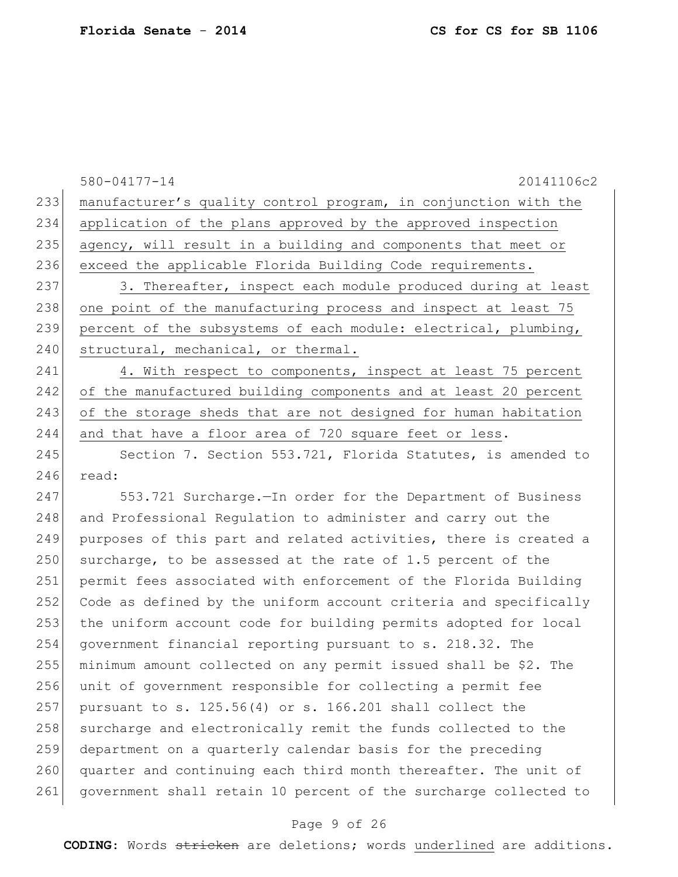|     | 580-04177-14<br>20141106c2                                       |
|-----|------------------------------------------------------------------|
| 233 | manufacturer's quality control program, in conjunction with the  |
| 234 | application of the plans approved by the approved inspection     |
| 235 | agency, will result in a building and components that meet or    |
| 236 | exceed the applicable Florida Building Code requirements.        |
| 237 | 3. Thereafter, inspect each module produced during at least      |
| 238 | one point of the manufacturing process and inspect at least 75   |
| 239 | percent of the subsystems of each module: electrical, plumbing,  |
| 240 | structural, mechanical, or thermal.                              |
| 241 | 4. With respect to components, inspect at least 75 percent       |
| 242 | of the manufactured building components and at least 20 percent  |
| 243 | of the storage sheds that are not designed for human habitation  |
| 244 | and that have a floor area of 720 square feet or less.           |
| 245 | Section 7. Section 553.721, Florida Statutes, is amended to      |
| 246 | read:                                                            |
| 247 | 553.721 Surcharge. - In order for the Department of Business     |
| 248 | and Professional Regulation to administer and carry out the      |
| 249 | purposes of this part and related activities, there is created a |
| 250 | surcharge, to be assessed at the rate of 1.5 percent of the      |
| 251 | permit fees associated with enforcement of the Florida Building  |
| 252 | Code as defined by the uniform account criteria and specifically |
| 253 | the uniform account code for building permits adopted for local  |
| 254 | government financial reporting pursuant to s. 218.32. The        |
| 255 | minimum amount collected on any permit issued shall be \$2. The  |
| 256 | unit of government responsible for collecting a permit fee       |
| 257 | pursuant to s. 125.56(4) or s. 166.201 shall collect the         |
| 258 | surcharge and electronically remit the funds collected to the    |
| 259 | department on a quarterly calendar basis for the preceding       |
| 260 | quarter and continuing each third month thereafter. The unit of  |
| 261 | government shall retain 10 percent of the surcharge collected to |

# Page 9 of 26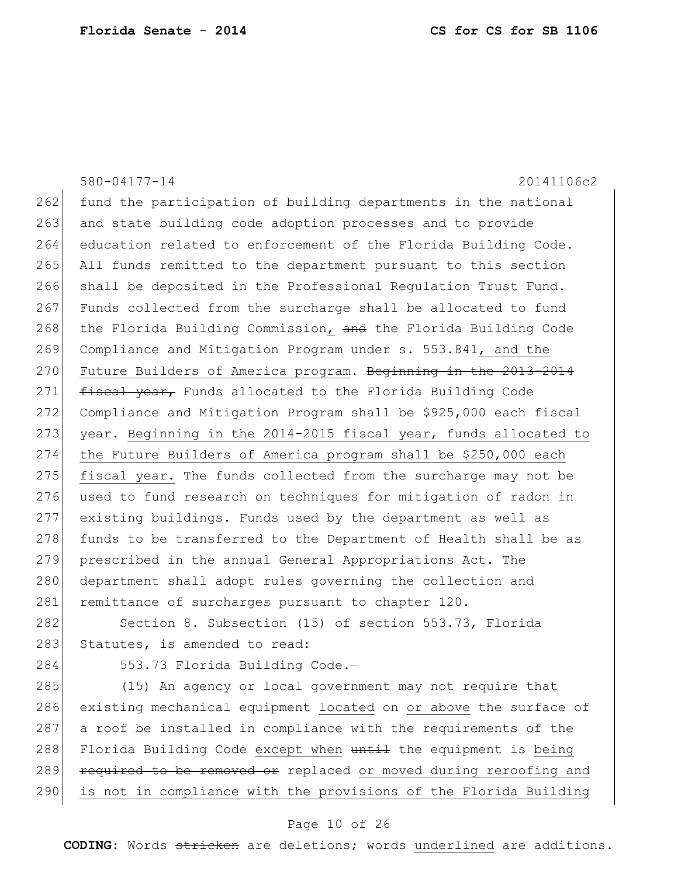580-04177-14 20141106c2 262 fund the participation of building departments in the national 263 and state building code adoption processes and to provide 264 education related to enforcement of the Florida Building Code. 265 All funds remitted to the department pursuant to this section 266 shall be deposited in the Professional Regulation Trust Fund. 267 Funds collected from the surcharge shall be allocated to fund 268 the Florida Building Commission, and the Florida Building Code 269 Compliance and Mitigation Program under s. 553.841, and the 270 Future Builders of America program. Beginning in the 2013-2014 271 **fiscal year,** Funds allocated to the Florida Building Code 272 Compliance and Mitigation Program shall be \$925,000 each fiscal 273 year. Beginning in the 2014-2015 fiscal year, funds allocated to 274 the Future Builders of America program shall be \$250,000 each 275 fiscal year. The funds collected from the surcharge may not be 276 used to fund research on techniques for mitigation of radon in 277 existing buildings. Funds used by the department as well as 278 funds to be transferred to the Department of Health shall be as 279 prescribed in the annual General Appropriations Act. The 280 department shall adopt rules governing the collection and 281 remittance of surcharges pursuant to chapter 120. 282 Section 8. Subsection (15) of section 553.73, Florida 283 Statutes, is amended to read: 284 553.73 Florida Building Code.-285 (15) An agency or local government may not require that 286 existing mechanical equipment located on or above the surface of 287 a roof be installed in compliance with the requirements of the 288 Florida Building Code except when until the equipment is being 289 **required to be removed or** replaced or moved during reroofing and 290 is not in compliance with the provisions of the Florida Building

#### Page 10 of 26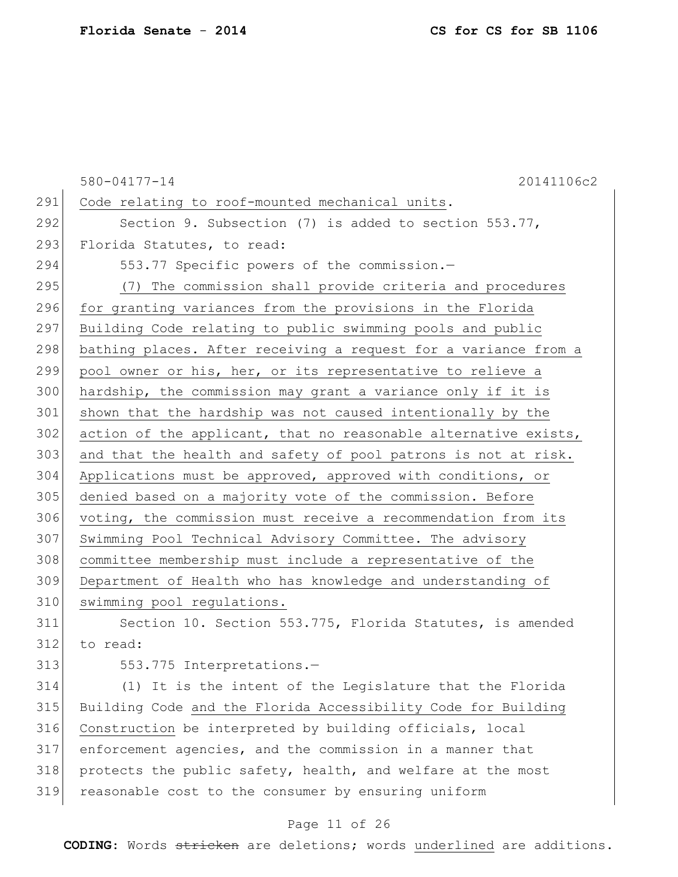|     | 20141106c2<br>580-04177-14                                      |
|-----|-----------------------------------------------------------------|
| 291 | Code relating to roof-mounted mechanical units.                 |
| 292 | Section 9. Subsection (7) is added to section $553.77$ ,        |
| 293 | Florida Statutes, to read:                                      |
| 294 | 553.77 Specific powers of the commission.-                      |
| 295 | (7) The commission shall provide criteria and procedures        |
| 296 | for granting variances from the provisions in the Florida       |
| 297 | Building Code relating to public swimming pools and public      |
| 298 | bathing places. After receiving a request for a variance from a |
| 299 | pool owner or his, her, or its representative to relieve a      |
| 300 | hardship, the commission may grant a variance only if it is     |
| 301 | shown that the hardship was not caused intentionally by the     |
| 302 | action of the applicant, that no reasonable alternative exists, |
| 303 | and that the health and safety of pool patrons is not at risk.  |
| 304 | Applications must be approved, approved with conditions, or     |
| 305 | denied based on a majority vote of the commission. Before       |
| 306 | voting, the commission must receive a recommendation from its   |
| 307 | Swimming Pool Technical Advisory Committee. The advisory        |
| 308 | committee membership must include a representative of the       |
| 309 | Department of Health who has knowledge and understanding of     |
| 310 | swimming pool regulations.                                      |
| 311 | Section 10. Section 553.775, Florida Statutes, is amended       |
| 312 | to read:                                                        |
| 313 | 553.775 Interpretations.-                                       |
| 314 | (1) It is the intent of the Legislature that the Florida        |
| 315 | Building Code and the Florida Accessibility Code for Building   |
| 316 | Construction be interpreted by building officials, local        |
| 317 | enforcement agencies, and the commission in a manner that       |
| 318 | protects the public safety, health, and welfare at the most     |
| 319 | reasonable cost to the consumer by ensuring uniform             |

# Page 11 of 26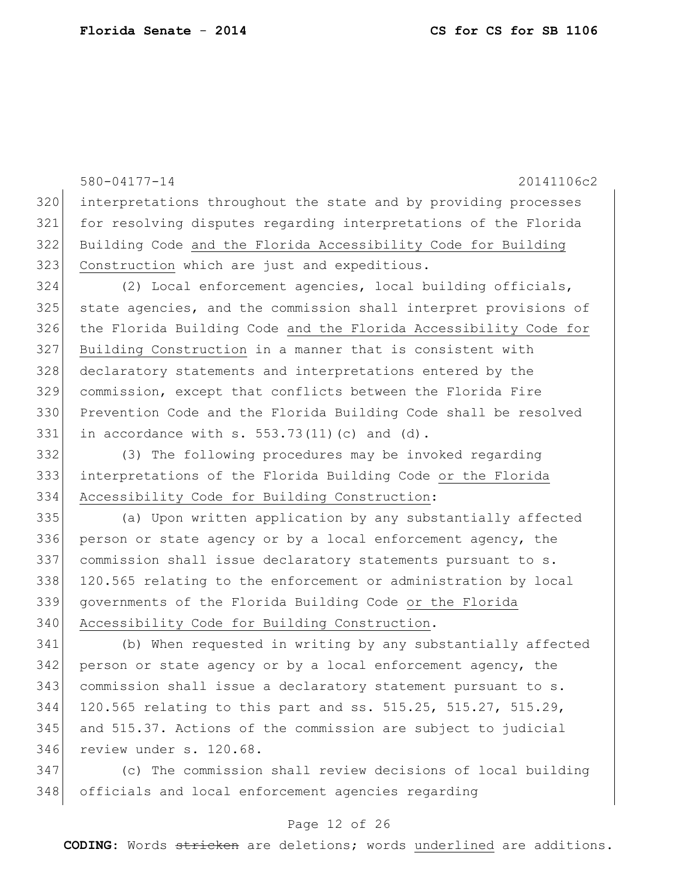580-04177-14 20141106c2 interpretations throughout the state and by providing processes for resolving disputes regarding interpretations of the Florida Building Code and the Florida Accessibility Code for Building Construction which are just and expeditious. (2) Local enforcement agencies, local building officials, state agencies, and the commission shall interpret provisions of the Florida Building Code and the Florida Accessibility Code for Building Construction in a manner that is consistent with 328 declaratory statements and interpretations entered by the commission, except that conflicts between the Florida Fire Prevention Code and the Florida Building Code shall be resolved 331 in accordance with  $s. 553.73(11)(c)$  and  $(d).$  (3) The following procedures may be invoked regarding interpretations of the Florida Building Code or the Florida Accessibility Code for Building Construction: (a) Upon written application by any substantially affected person or state agency or by a local enforcement agency, the 337 commission shall issue declaratory statements pursuant to s. 120.565 relating to the enforcement or administration by local governments of the Florida Building Code or the Florida 340 Accessibility Code for Building Construction. (b) When requested in writing by any substantially affected person or state agency or by a local enforcement agency, the commission shall issue a declaratory statement pursuant to s. 120.565 relating to this part and ss. 515.25, 515.27, 515.29, and 515.37. Actions of the commission are subject to judicial review under s. 120.68.

 (c) The commission shall review decisions of local building officials and local enforcement agencies regarding

### Page 12 of 26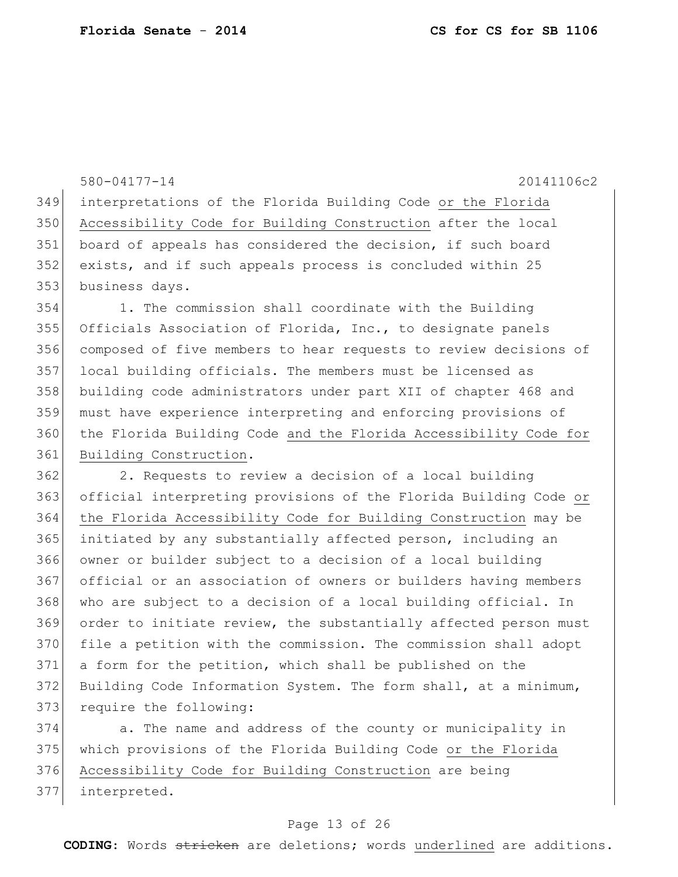580-04177-14 20141106c2 interpretations of the Florida Building Code or the Florida Accessibility Code for Building Construction after the local board of appeals has considered the decision, if such board exists, and if such appeals process is concluded within 25 business days. 1. The commission shall coordinate with the Building 355 Officials Association of Florida, Inc., to designate panels composed of five members to hear requests to review decisions of local building officials. The members must be licensed as building code administrators under part XII of chapter 468 and must have experience interpreting and enforcing provisions of the Florida Building Code and the Florida Accessibility Code for 361 Building Construction. 2. Requests to review a decision of a local building official interpreting provisions of the Florida Building Code or the Florida Accessibility Code for Building Construction may be initiated by any substantially affected person, including an owner or builder subject to a decision of a local building official or an association of owners or builders having members 368 who are subject to a decision of a local building official. In order to initiate review, the substantially affected person must file a petition with the commission. The commission shall adopt a form for the petition, which shall be published on the

373 require the following:

374 a. The name and address of the county or municipality in which provisions of the Florida Building Code or the Florida Accessibility Code for Building Construction are being interpreted.

Building Code Information System. The form shall, at a minimum,

#### Page 13 of 26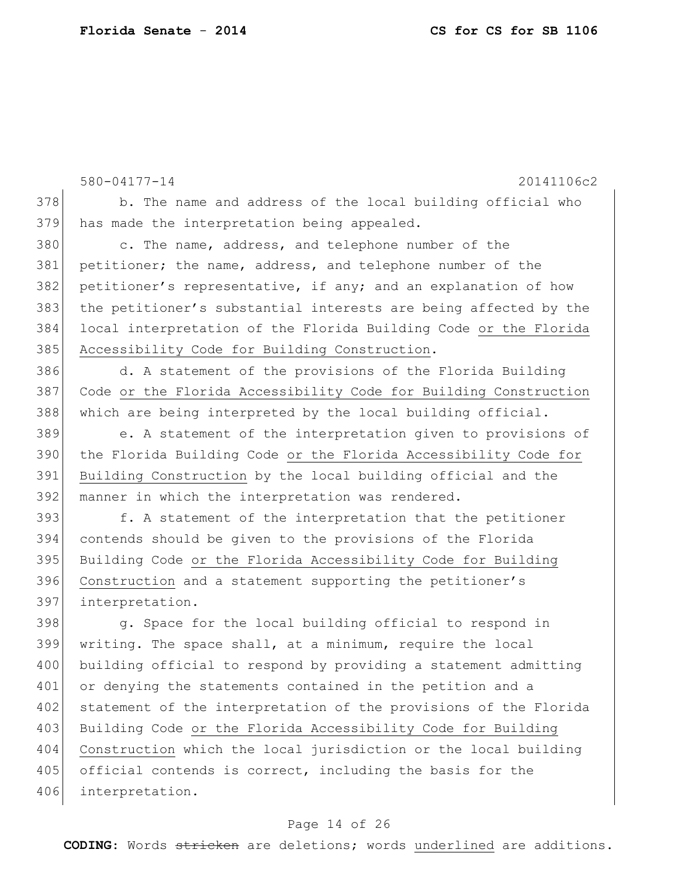580-04177-14 20141106c2 378 b. The name and address of the local building official who 379 has made the interpretation being appealed. 380 c. The name, address, and telephone number of the 381 petitioner; the name, address, and telephone number of the 382 petitioner's representative, if any; and an explanation of how 383 the petitioner's substantial interests are being affected by the 384 local interpretation of the Florida Building Code or the Florida 385 Accessibility Code for Building Construction. 386 d. A statement of the provisions of the Florida Building 387 Code or the Florida Accessibility Code for Building Construction 388 which are being interpreted by the local building official. 389 e. A statement of the interpretation given to provisions of 390 the Florida Building Code or the Florida Accessibility Code for 391 Building Construction by the local building official and the 392 manner in which the interpretation was rendered. 393 f. A statement of the interpretation that the petitioner 394 contends should be given to the provisions of the Florida 395 Building Code or the Florida Accessibility Code for Building 396 Construction and a statement supporting the petitioner's 397 interpretation. 398 g. Space for the local building official to respond in 399 writing. The space shall, at a minimum, require the local 400 building official to respond by providing a statement admitting 401 or denying the statements contained in the petition and a

402 statement of the interpretation of the provisions of the Florida 403 Building Code or the Florida Accessibility Code for Building 404 Construction which the local jurisdiction or the local building 405 official contends is correct, including the basis for the 406 interpretation.

#### Page 14 of 26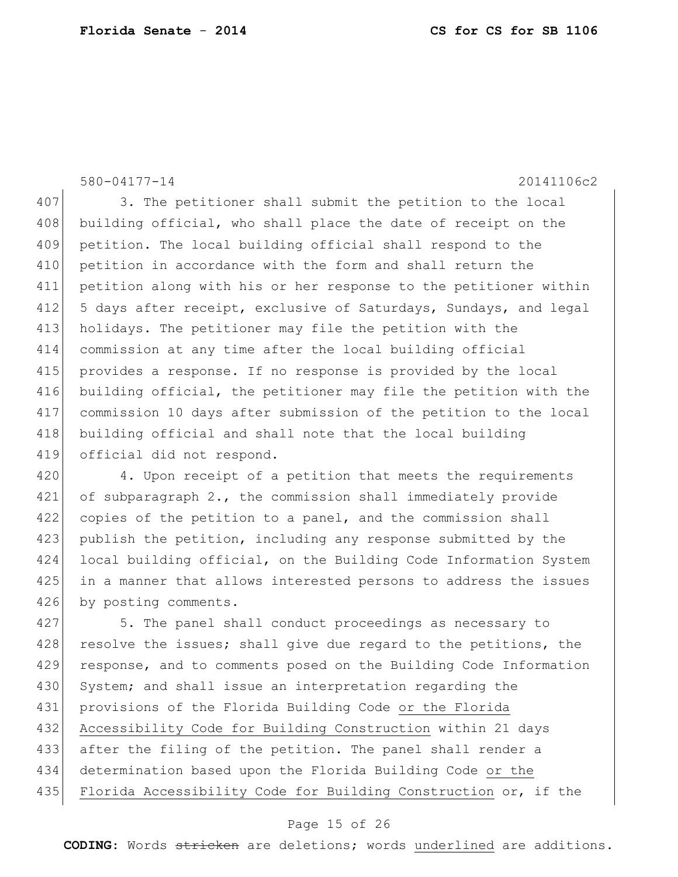580-04177-14 20141106c2 407 3. The petitioner shall submit the petition to the local 408 building official, who shall place the date of receipt on the 409 petition. The local building official shall respond to the 410 petition in accordance with the form and shall return the 411 petition along with his or her response to the petitioner within 412 5 days after receipt, exclusive of Saturdays, Sundays, and legal 413 holidays. The petitioner may file the petition with the 414 commission at any time after the local building official 415 provides a response. If no response is provided by the local 416 building official, the petitioner may file the petition with the 417 commission 10 days after submission of the petition to the local 418 building official and shall note that the local building 419 official did not respond.

420 4. Upon receipt of a petition that meets the requirements 421 of subparagraph 2., the commission shall immediately provide 422 copies of the petition to a panel, and the commission shall 423 publish the petition, including any response submitted by the 424 local building official, on the Building Code Information System 425 in a manner that allows interested persons to address the issues 426 by posting comments.

427 5. The panel shall conduct proceedings as necessary to 428 resolve the issues; shall give due regard to the petitions, the 429 response, and to comments posed on the Building Code Information 430 System; and shall issue an interpretation regarding the 431 provisions of the Florida Building Code or the Florida 432 Accessibility Code for Building Construction within 21 days 433 after the filing of the petition. The panel shall render a 434 determination based upon the Florida Building Code or the 435 Florida Accessibility Code for Building Construction or, if the

#### Page 15 of 26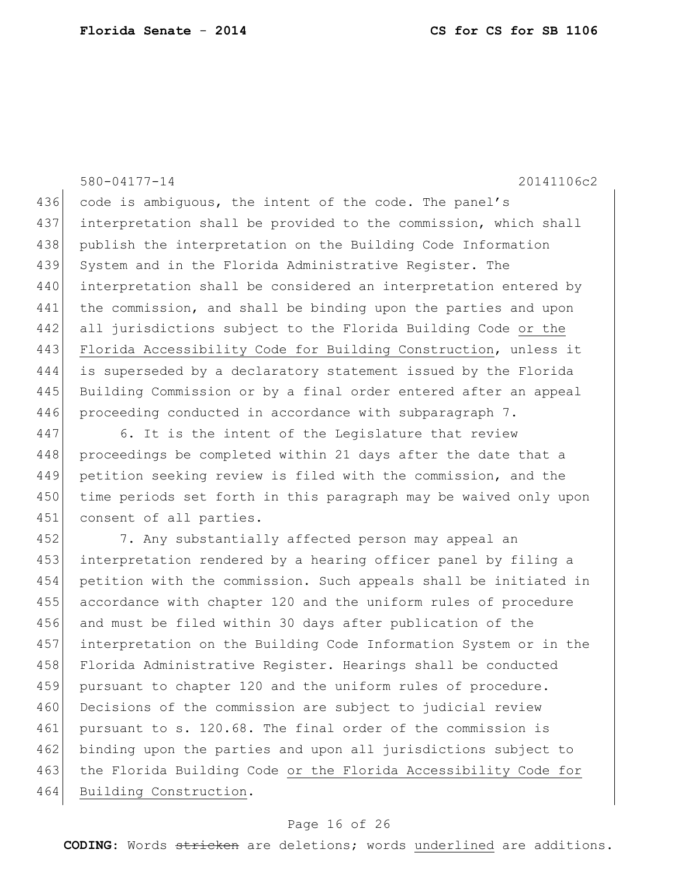580-04177-14 20141106c2 436 code is ambiguous, the intent of the code. The panel's 437 interpretation shall be provided to the commission, which shall 438 publish the interpretation on the Building Code Information 439 System and in the Florida Administrative Register. The 440 interpretation shall be considered an interpretation entered by 441 the commission, and shall be binding upon the parties and upon 442 all jurisdictions subject to the Florida Building Code or the 443 Florida Accessibility Code for Building Construction, unless it 444 is superseded by a declaratory statement issued by the Florida 445 Building Commission or by a final order entered after an appeal 446 proceeding conducted in accordance with subparagraph 7. 447 6. It is the intent of the Legislature that review

448 proceedings be completed within 21 days after the date that a 449 petition seeking review is filed with the commission, and the 450 time periods set forth in this paragraph may be waived only upon 451 consent of all parties.

452 7. Any substantially affected person may appeal an 453 interpretation rendered by a hearing officer panel by filing a 454 petition with the commission. Such appeals shall be initiated in 455 accordance with chapter 120 and the uniform rules of procedure 456 and must be filed within 30 days after publication of the 457 interpretation on the Building Code Information System or in the 458 Florida Administrative Register. Hearings shall be conducted 459 pursuant to chapter 120 and the uniform rules of procedure. 460 Decisions of the commission are subject to judicial review 461 pursuant to s. 120.68. The final order of the commission is 462 binding upon the parties and upon all jurisdictions subject to 463 the Florida Building Code or the Florida Accessibility Code for 464 Building Construction.

#### Page 16 of 26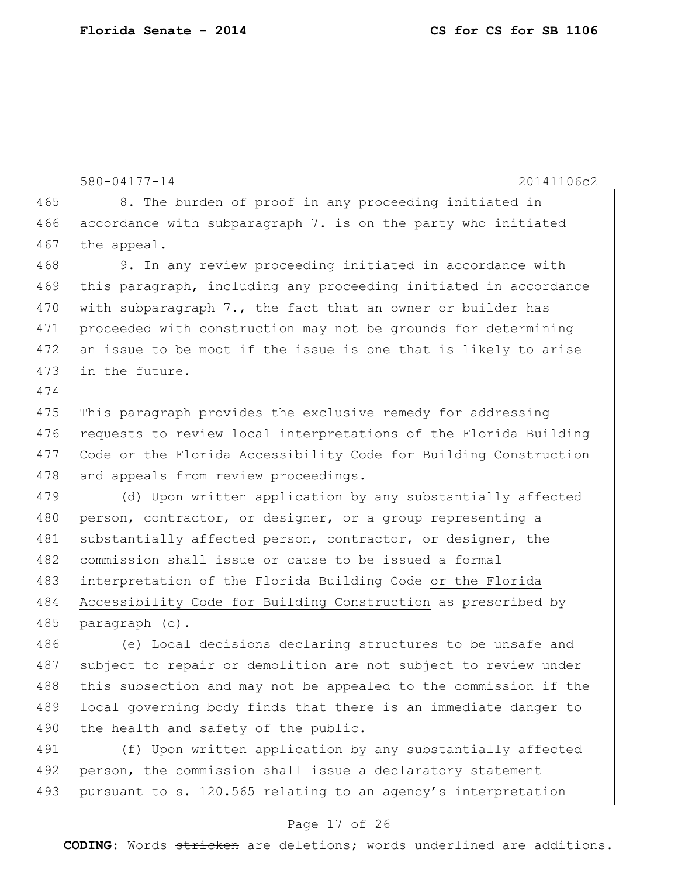```
580-04177-14 20141106c2
465 8. The burden of proof in any proceeding initiated in
466 accordance with subparagraph 7. is on the party who initiated
467 the appeal.
468 9. In any review proceeding initiated in accordance with
469 this paragraph, including any proceeding initiated in accordance 
470 with subparagraph 7., the fact that an owner or builder has
471 proceeded with construction may not be grounds for determining 
472 an issue to be moot if the issue is one that is likely to arise 
473 in the future.
474
475 This paragraph provides the exclusive remedy for addressing
476 requests to review local interpretations of the Florida Building
477 Code or the Florida Accessibility Code for Building Construction 
478 and appeals from review proceedings.
479 (d) Upon written application by any substantially affected
480 person, contractor, or designer, or a group representing a
481 substantially affected person, contractor, or designer, the
482 commission shall issue or cause to be issued a formal
483 interpretation of the Florida Building Code or the Florida 
484 Accessibility Code for Building Construction as prescribed by 
485 paragraph (c).
486 (e) Local decisions declaring structures to be unsafe and
487 subject to repair or demolition are not subject to review under
488 this subsection and may not be appealed to the commission if the
489 local governing body finds that there is an immediate danger to 
490 the health and safety of the public.
491 (f) Upon written application by any substantially affected
```
492 person, the commission shall issue a declaratory statement 493 pursuant to s. 120.565 relating to an agency's interpretation

#### Page 17 of 26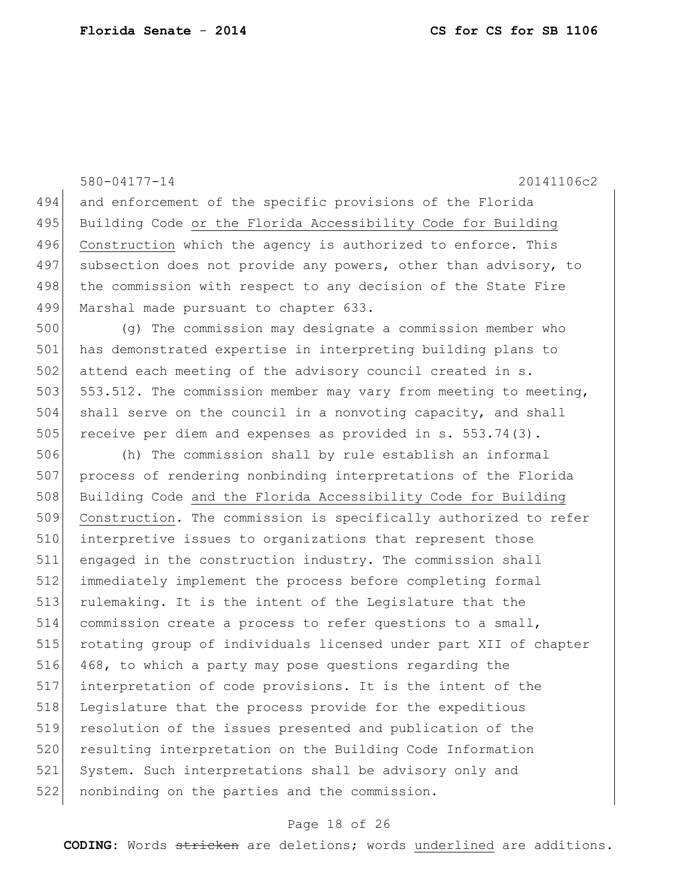and enforcement of the specific provisions of the Florida 495 Building Code or the Florida Accessibility Code for Building 496 Construction which the agency is authorized to enforce. This 497 subsection does not provide any powers, other than advisory, to 498 the commission with respect to any decision of the State Fire 499 Marshal made pursuant to chapter 633. (g) The commission may designate a commission member who has demonstrated expertise in interpreting building plans to 502 attend each meeting of the advisory council created in s. 503 553.512. The commission member may vary from meeting to meeting, shall serve on the council in a nonvoting capacity, and shall 505 receive per diem and expenses as provided in s. 553.74(3). (h) The commission shall by rule establish an informal process of rendering nonbinding interpretations of the Florida 508 Building Code and the Florida Accessibility Code for Building Construction. The commission is specifically authorized to refer interpretive issues to organizations that represent those engaged in the construction industry. The commission shall immediately implement the process before completing formal 513 rulemaking. It is the intent of the Legislature that the commission create a process to refer questions to a small, rotating group of individuals licensed under part XII of chapter 468, to which a party may pose questions regarding the interpretation of code provisions. It is the intent of the Legislature that the process provide for the expeditious resolution of the issues presented and publication of the 520 resulting interpretation on the Building Code Information System. Such interpretations shall be advisory only and nonbinding on the parties and the commission.

580-04177-14 20141106c2

#### Page 18 of 26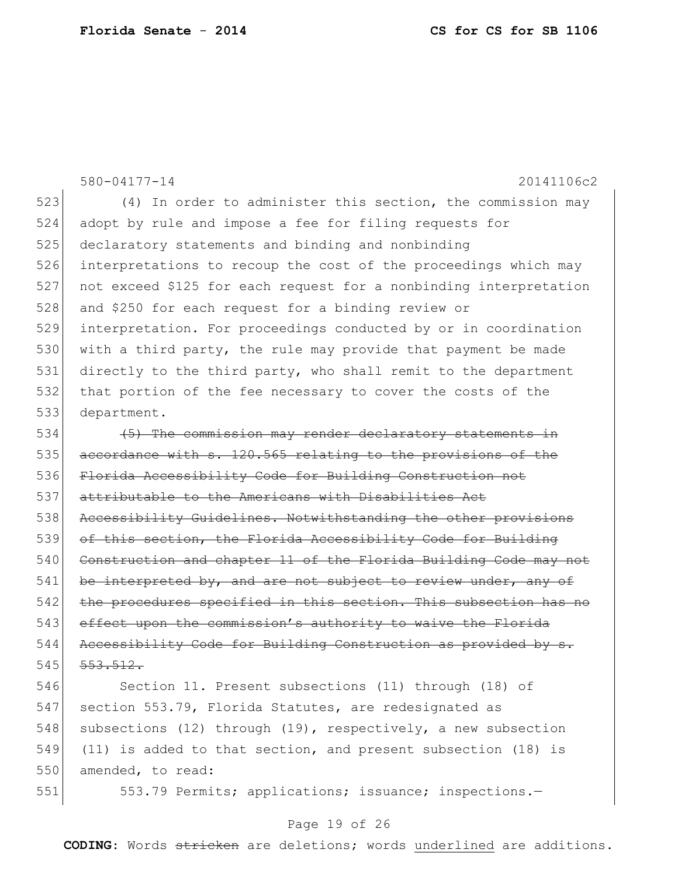580-04177-14 20141106c2 523 (4) In order to administer this section, the commission may 524 adopt by rule and impose a fee for filing requests for 525 declaratory statements and binding and nonbinding 526 interpretations to recoup the cost of the proceedings which may 527 not exceed \$125 for each request for a nonbinding interpretation 528 and \$250 for each request for a binding review or 529 interpretation. For proceedings conducted by or in coordination 530 with a third party, the rule may provide that payment be made 531 directly to the third party, who shall remit to the department 532 that portion of the fee necessary to cover the costs of the 533 department.  $534$  (5) The commission may render declaratory statements in 535 accordance with s. 120.565 relating to the provisions of the 536 Florida Accessibility Code for Building Construction not 537 attributable to the Americans with Disabilities Act 538 Accessibility Guidelines. Notwithstanding the other provisions 539 of this section, the Florida Accessibility Code for Building 540 Construction and chapter 11 of the Florida Building Code may not 541 be interpreted by, and are not subject to review under, any of 542 the procedures specified in this section. This subsection has no 543 effect upon the commission's authority to waive the Florida 544 Accessibility Code for Building Construction as provided by s.  $545$   $553.512$ .

546 Section 11. Present subsections (11) through (18) of 547 section 553.79, Florida Statutes, are redesignated as 548 subsections (12) through (19), respectively, a new subsection 549 (11) is added to that section, and present subsection (18) is 550 amended, to read:

551 553.79 Permits; applications; issuance; inspections.

#### Page 19 of 26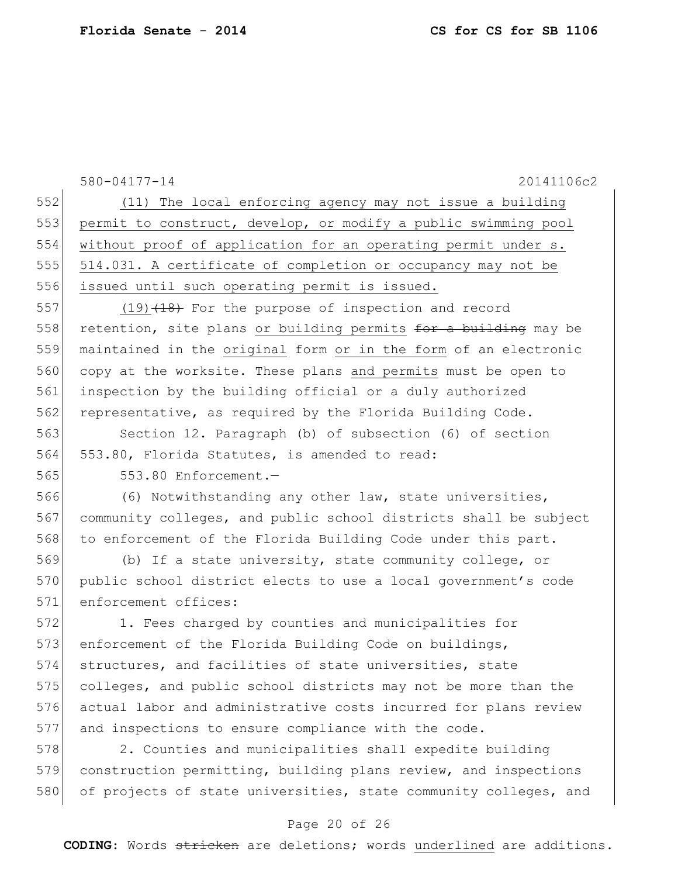|     | 580-04177-14<br>20141106c2                                                 |
|-----|----------------------------------------------------------------------------|
| 552 | (11) The local enforcing agency may not issue a building                   |
| 553 | permit to construct, develop, or modify a public swimming pool             |
| 554 | without proof of application for an operating permit under s.              |
| 555 | 514.031. A certificate of completion or occupancy may not be               |
| 556 | issued until such operating permit is issued.                              |
| 557 | $(19)$ $(18)$ For the purpose of inspection and record                     |
| 558 | retention, site plans or building permits <del>for a building</del> may be |
| 559 | maintained in the original form or in the form of an electronic            |
| 560 | copy at the worksite. These plans and permits must be open to              |
| 561 | inspection by the building official or a duly authorized                   |
| 562 | representative, as required by the Florida Building Code.                  |
| 563 | Section 12. Paragraph (b) of subsection (6) of section                     |
| 564 | 553.80, Florida Statutes, is amended to read:                              |
| 565 | 553.80 Enforcement.-                                                       |
| 566 | (6) Notwithstanding any other law, state universities,                     |
| 567 | community colleges, and public school districts shall be subject           |
| 568 | to enforcement of the Florida Building Code under this part.               |
| 569 | (b) If a state university, state community college, or                     |
| 570 | public school district elects to use a local government's code             |
| 571 | enforcement offices:                                                       |
| 572 | 1. Fees charged by counties and municipalities for                         |
| 573 | enforcement of the Florida Building Code on buildings,                     |
| 574 | structures, and facilities of state universities, state                    |
| 575 | colleges, and public school districts may not be more than the             |
| 576 | actual labor and administrative costs incurred for plans review            |
| 577 | and inspections to ensure compliance with the code.                        |
| 578 | 2. Counties and municipalities shall expedite building                     |
| 579 | construction permitting, building plans review, and inspections            |
| 580 | of projects of state universities, state community colleges, and           |

# Page 20 of 26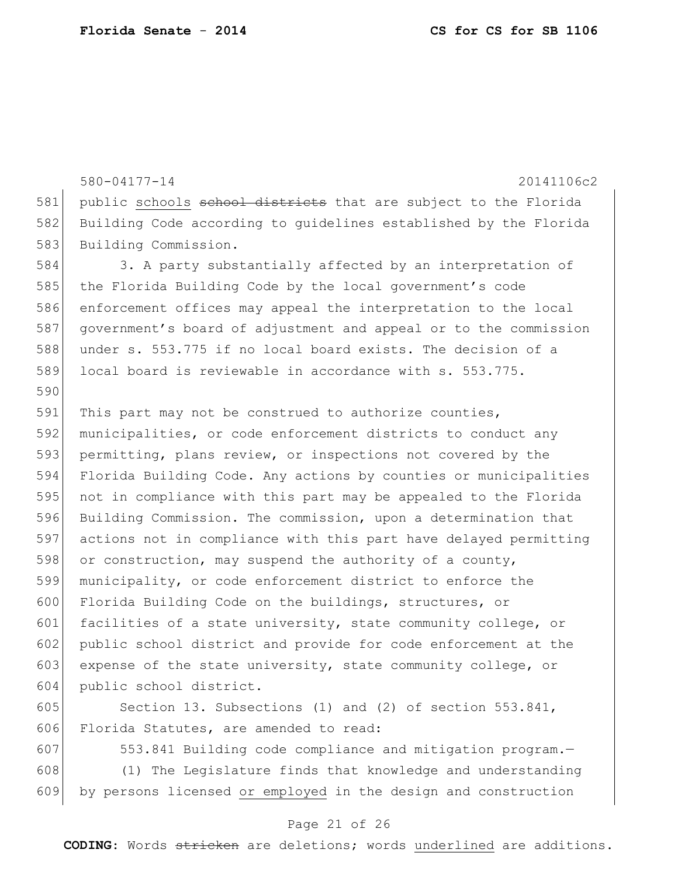580-04177-14 20141106c2 581 public schools school districts that are subject to the Florida Building Code according to guidelines established by the Florida 583 Building Commission. 584 3. A party substantially affected by an interpretation of 585 the Florida Building Code by the local government's code enforcement offices may appeal the interpretation to the local government's board of adjustment and appeal or to the commission under s. 553.775 if no local board exists. The decision of a local board is reviewable in accordance with s. 553.775. 591 This part may not be construed to authorize counties, municipalities, or code enforcement districts to conduct any permitting, plans review, or inspections not covered by the Florida Building Code. Any actions by counties or municipalities not in compliance with this part may be appealed to the Florida Building Commission. The commission, upon a determination that actions not in compliance with this part have delayed permitting 598 or construction, may suspend the authority of a county, municipality, or code enforcement district to enforce the Florida Building Code on the buildings, structures, or 601 facilities of a state university, state community college, or public school district and provide for code enforcement at the 603 expense of the state university, state community college, or public school district. 605 Section 13. Subsections (1) and (2) of section 553.841,

Florida Statutes, are amended to read:

 553.841 Building code compliance and mitigation program.— (1) The Legislature finds that knowledge and understanding by persons licensed or employed in the design and construction

#### Page 21 of 26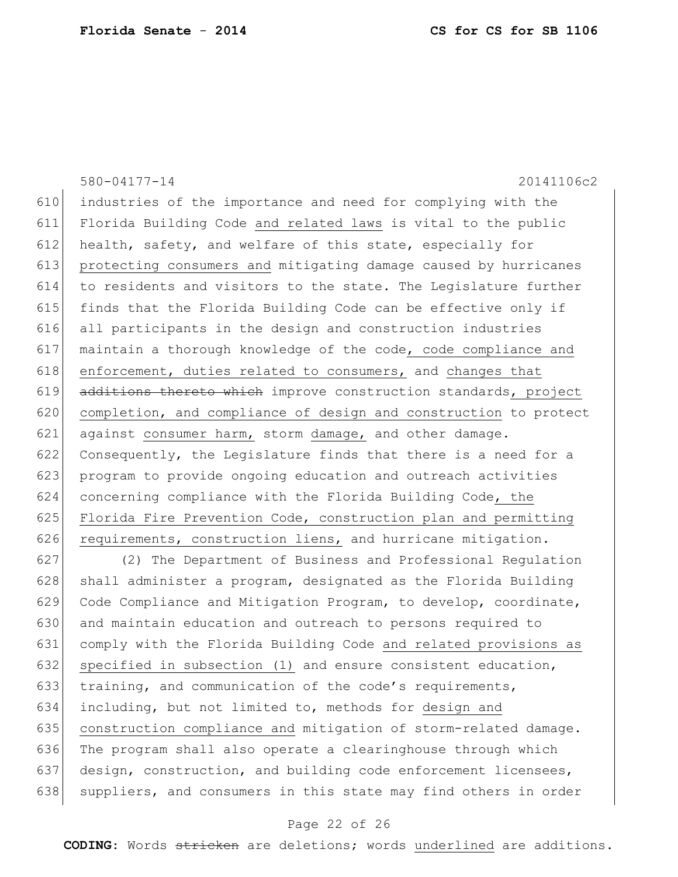580-04177-14 20141106c2 industries of the importance and need for complying with the Florida Building Code and related laws is vital to the public 612 health, safety, and welfare of this state, especially for protecting consumers and mitigating damage caused by hurricanes to residents and visitors to the state. The Legislature further finds that the Florida Building Code can be effective only if all participants in the design and construction industries maintain a thorough knowledge of the code, code compliance and 618 enforcement, duties related to consumers, and changes that 619 additions thereto which improve construction standards, project completion, and compliance of design and construction to protect against consumer harm, storm damage, and other damage. Consequently, the Legislature finds that there is a need for a program to provide ongoing education and outreach activities concerning compliance with the Florida Building Code, the 625 Florida Fire Prevention Code, construction plan and permitting 626 requirements, construction liens, and hurricane mitigation.

627 (2) The Department of Business and Professional Regulation 628 shall administer a program, designated as the Florida Building 629 Code Compliance and Mitigation Program, to develop, coordinate, 630 and maintain education and outreach to persons required to 631 comply with the Florida Building Code and related provisions as 632 specified in subsection (1) and ensure consistent education, 633 training, and communication of the code's requirements, 634 including, but not limited to, methods for design and 635 construction compliance and mitigation of storm-related damage. 636 The program shall also operate a clearinghouse through which 637 design, construction, and building code enforcement licensees, 638 suppliers, and consumers in this state may find others in order

#### Page 22 of 26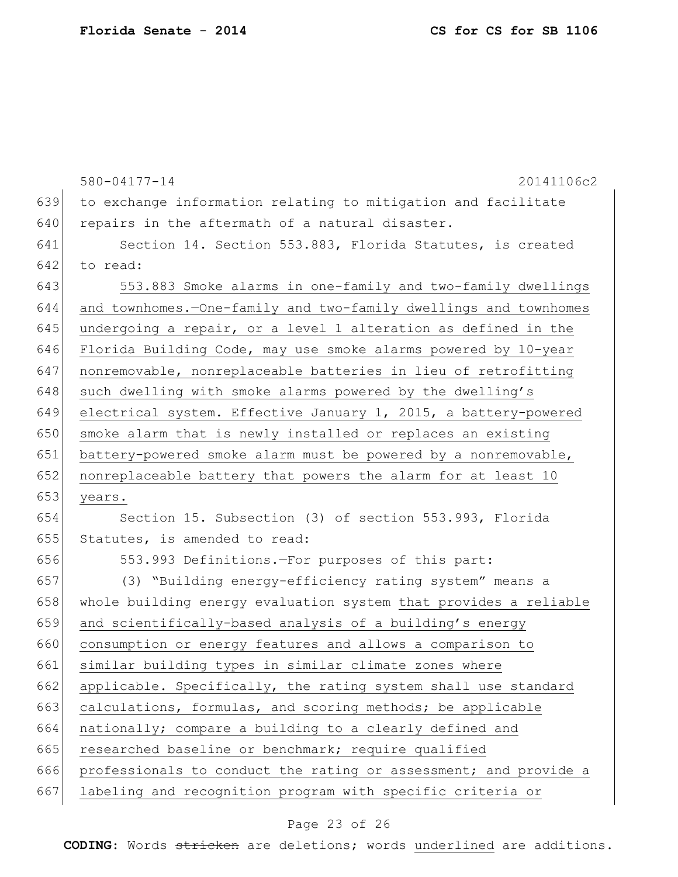|     | $580 - 04177 - 14$<br>20141106c2                                 |
|-----|------------------------------------------------------------------|
| 639 | to exchange information relating to mitigation and facilitate    |
| 640 | repairs in the aftermath of a natural disaster.                  |
| 641 | Section 14. Section 553.883, Florida Statutes, is created        |
| 642 | to read:                                                         |
| 643 | 553.883 Smoke alarms in one-family and two-family dwellings      |
| 644 | and townhomes.-One-family and two-family dwellings and townhomes |
| 645 | undergoing a repair, or a level 1 alteration as defined in the   |
| 646 | Florida Building Code, may use smoke alarms powered by 10-year   |
| 647 | nonremovable, nonreplaceable batteries in lieu of retrofitting   |
| 648 | such dwelling with smoke alarms powered by the dwelling's        |
| 649 | electrical system. Effective January 1, 2015, a battery-powered  |
| 650 | smoke alarm that is newly installed or replaces an existing      |
| 651 | battery-powered smoke alarm must be powered by a nonremovable,   |
| 652 | nonreplaceable battery that powers the alarm for at least 10     |
| 653 | years.                                                           |
| 654 | Section 15. Subsection (3) of section 553.993, Florida           |
| 655 | Statutes, is amended to read:                                    |
| 656 | 553.993 Definitions.-For purposes of this part:                  |
| 657 | (3) "Building energy-efficiency rating system" means a           |
| 658 | whole building energy evaluation system that provides a reliable |
| 659 | and scientifically-based analysis of a building's energy         |
| 660 | consumption or energy features and allows a comparison to        |
| 661 | similar building types in similar climate zones where            |
| 662 | applicable. Specifically, the rating system shall use standard   |
| 663 | calculations, formulas, and scoring methods; be applicable       |
| 664 | nationally; compare a building to a clearly defined and          |
| 665 | researched baseline or benchmark; require qualified              |
| 666 | professionals to conduct the rating or assessment; and provide a |
| 667 | labeling and recognition program with specific criteria or       |

# Page 23 of 26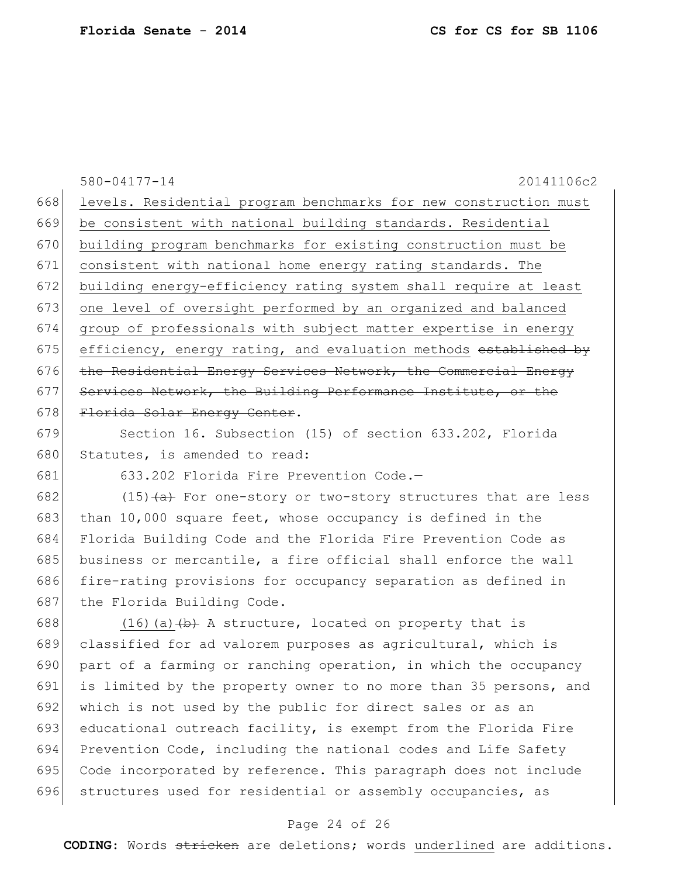```
580-04177-14 20141106c2
668 levels. Residential program benchmarks for new construction must
669 be consistent with national building standards. Residential
670 building program benchmarks for existing construction must be 
671 consistent with national home energy rating standards. The 
672 building energy-efficiency rating system shall require at least 
673 one level of oversight performed by an organized and balanced 
674 group of professionals with subject matter expertise in energy 
675 efficiency, energy rating, and evaluation methods established by
676 the Residential Energy Services Network, the Commercial Energy
677 Services Network, the Building Performance Institute, or the
678 Florida Solar Energy Center.
679 Section 16. Subsection (15) of section 633.202, Florida 
680 Statutes, is amended to read:
681 633.202 Florida Fire Prevention Code.—
682 (15)\left( \frac{a}{b} \right) For one-story or two-story structures that are less
```
683 than 10,000 square feet, whose occupancy is defined in the 684 Florida Building Code and the Florida Fire Prevention Code as 685 business or mercantile, a fire official shall enforce the wall 686 fire-rating provisions for occupancy separation as defined in 687 the Florida Building Code.

688  $(16)(a)$   $(b)$  A structure, located on property that is 689 classified for ad valorem purposes as agricultural, which is 690 part of a farming or ranching operation, in which the occupancy 691 is limited by the property owner to no more than 35 persons, and 692 which is not used by the public for direct sales or as an 693 educational outreach facility, is exempt from the Florida Fire 694 Prevention Code, including the national codes and Life Safety 695 Code incorporated by reference. This paragraph does not include 696 structures used for residential or assembly occupancies, as

### Page 24 of 26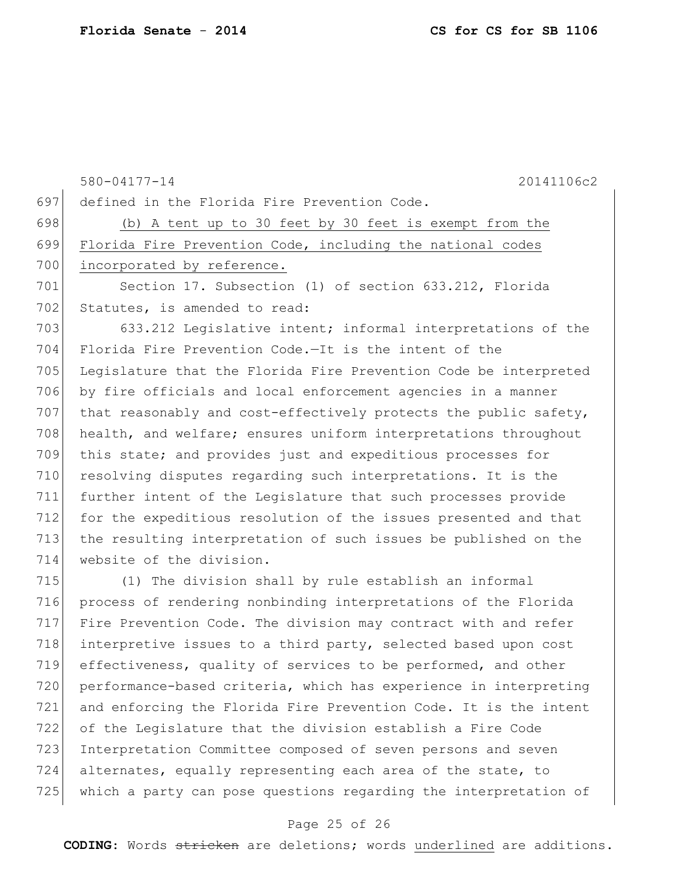580-04177-14 20141106c2 defined in the Florida Fire Prevention Code. (b) A tent up to 30 feet by 30 feet is exempt from the Florida Fire Prevention Code, including the national codes 700 incorporated by reference. Section 17. Subsection (1) of section 633.212, Florida 702 Statutes, is amended to read: 703 633.212 Legislative intent; informal interpretations of the Florida Fire Prevention Code.—It is the intent of the Legislature that the Florida Fire Prevention Code be interpreted by fire officials and local enforcement agencies in a manner 707 that reasonably and cost-effectively protects the public safety, 708 health, and welfare; ensures uniform interpretations throughout this state; and provides just and expeditious processes for resolving disputes regarding such interpretations. It is the further intent of the Legislature that such processes provide 712 for the expeditious resolution of the issues presented and that the resulting interpretation of such issues be published on the website of the division. (1) The division shall by rule establish an informal process of rendering nonbinding interpretations of the Florida Fire Prevention Code. The division may contract with and refer 718 interpretive issues to a third party, selected based upon cost effectiveness, quality of services to be performed, and other performance-based criteria, which has experience in interpreting and enforcing the Florida Fire Prevention Code. It is the intent

 of the Legislature that the division establish a Fire Code Interpretation Committee composed of seven persons and seven alternates, equally representing each area of the state, to 725 which a party can pose questions regarding the interpretation of

#### Page 25 of 26

**CODING**: Words stricken are deletions; words underlined are additions.

**Florida Senate** - **2014 CS for CS for SB 1106**